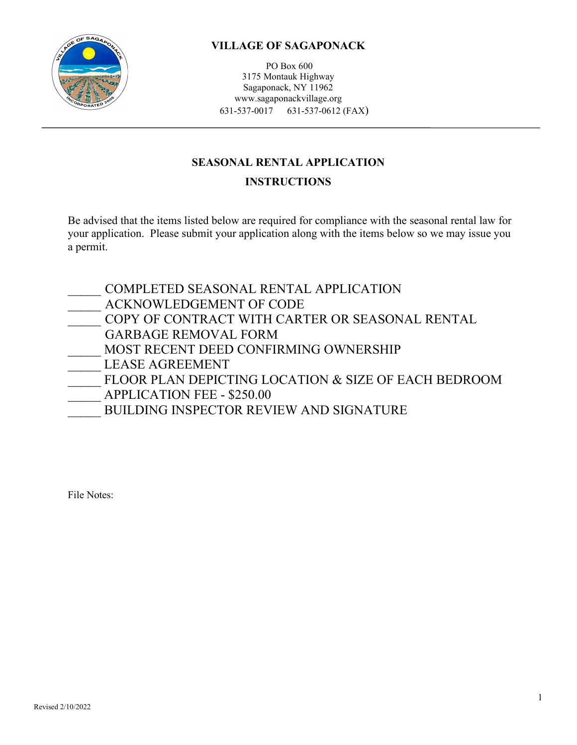

PO Box 600 3175 Montauk Highway Sagaponack, NY 11962 www.sagaponackvillage.org 631-537-0017 631-537-0612 (FAX)

# **SEASONAL RENTAL APPLICATION**

# **INSTRUCTIONS**

Be advised that the items listed below are required for compliance with the seasonal rental law for your application. Please submit your application along with the items below so we may issue you a permit.

| COMPLETED SEASONAL RENTAL APPLICATION                |
|------------------------------------------------------|
| ACKNOWLEDGEMENT OF CODE                              |
| COPY OF CONTRACT WITH CARTER OR SEASONAL RENTAL      |
| <b>GARBAGE REMOVAL FORM</b>                          |
| MOST RECENT DEED CONFIRMING OWNERSHIP                |
| <b>LEASE AGREEMENT</b>                               |
| FLOOR PLAN DEPICTING LOCATION & SIZE OF EACH BEDROOM |
| <b>APPLICATION FEE - \$250.00</b>                    |
| <b>BUILDING INSPECTOR REVIEW AND SIGNATURE</b>       |

File Notes: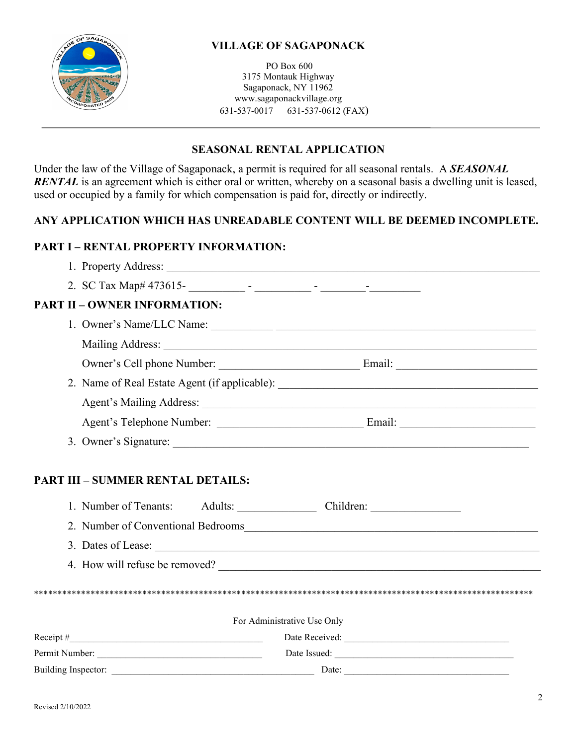

PO Box 600 3175 Montauk Highway Sagaponack, NY 11962 www.sagaponackvillage.org 631-537-0017 631-537-0612 (FAX)

### **SEASONAL RENTAL APPLICATION**

Under the law of the Village of Sagaponack, a permit is required for all seasonal rentals. A *SEASONAL RENTAL* is an agreement which is either oral or written, whereby on a seasonal basis a dwelling unit is leased, used or occupied by a family for which compensation is paid for, directly or indirectly.

### **ANY APPLICATION WHICH HAS UNREADABLE CONTENT WILL BE DEEMED INCOMPLETE.**

# **PART I – RENTAL PROPERTY INFORMATION:**

| <b>PART II - OWNER INFORMATION:</b>               |                                                                                   |
|---------------------------------------------------|-----------------------------------------------------------------------------------|
|                                                   |                                                                                   |
|                                                   |                                                                                   |
|                                                   |                                                                                   |
|                                                   | 2. Name of Real Estate Agent (if applicable): ___________________________________ |
|                                                   |                                                                                   |
|                                                   |                                                                                   |
|                                                   |                                                                                   |
| <b>PART III - SUMMER RENTAL DETAILS:</b>          |                                                                                   |
| 1. Number of Tenants: Adults: Children: Children: |                                                                                   |
|                                                   |                                                                                   |
|                                                   |                                                                                   |
| 4. How will refuse be removed?                    |                                                                                   |
|                                                   |                                                                                   |

For Administrative Use Only

| Receipt $#$         | Date Received: |
|---------------------|----------------|
| Permit Number:      | Date Issued:   |
| Building Inspector: | Date:          |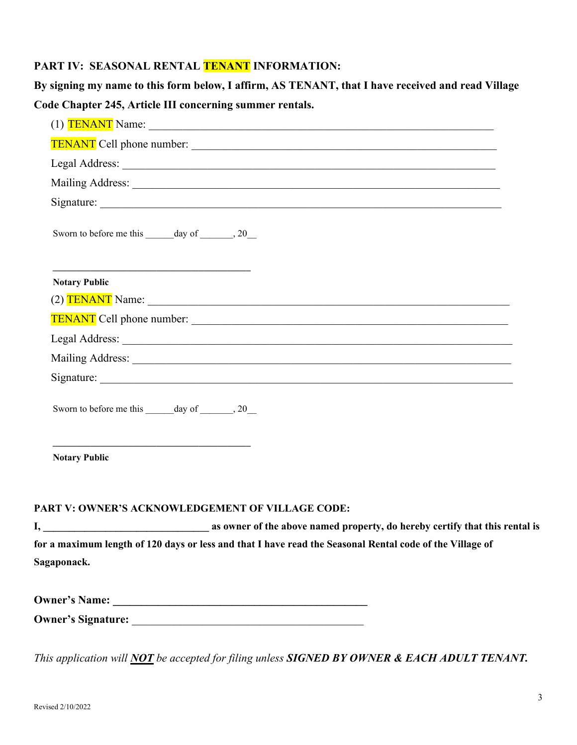# **PART IV: SEASONAL RENTAL TENANT INFORMATION:**

|                                                                                      | By signing my name to this form below, I affirm, AS TENANT, that I have received and read Village                                                                                                                              |
|--------------------------------------------------------------------------------------|--------------------------------------------------------------------------------------------------------------------------------------------------------------------------------------------------------------------------------|
| Code Chapter 245, Article III concerning summer rentals.                             |                                                                                                                                                                                                                                |
|                                                                                      | (1) $TENANT$ Name: $\_\_$                                                                                                                                                                                                      |
|                                                                                      |                                                                                                                                                                                                                                |
|                                                                                      |                                                                                                                                                                                                                                |
|                                                                                      | Mailing Address: National Address: National Address: National Address: National Address: National Address: National Address: National Address: National Address: National Address: National Address: National Address: Nationa |
|                                                                                      |                                                                                                                                                                                                                                |
| Sworn to before me this ______ day of _______, 20___                                 |                                                                                                                                                                                                                                |
| <u> 1989 - Johann Stein, mars an de Britannich (b. 1989)</u><br><b>Notary Public</b> |                                                                                                                                                                                                                                |
|                                                                                      | $(2)$ $TENANT Name:$                                                                                                                                                                                                           |
|                                                                                      |                                                                                                                                                                                                                                |
|                                                                                      |                                                                                                                                                                                                                                |
|                                                                                      |                                                                                                                                                                                                                                |
|                                                                                      |                                                                                                                                                                                                                                |
| Sworn to before me this day of 30                                                    |                                                                                                                                                                                                                                |
| <b>Notary Public</b>                                                                 |                                                                                                                                                                                                                                |

**I, \_\_\_\_\_\_\_\_\_\_\_\_\_\_\_\_\_\_\_\_\_\_\_\_\_\_\_\_\_\_\_\_ as owner of the above named property, do hereby certify that this rental is for a maximum length of 120 days or less and that I have read the Seasonal Rental code of the Village of Sagaponack.**

| <b>Owner's Name:</b>      |  |
|---------------------------|--|
| <b>Owner's Signature:</b> |  |

*This application will NOT be accepted for filing unless SIGNED BY OWNER & EACH ADULT TENANT.*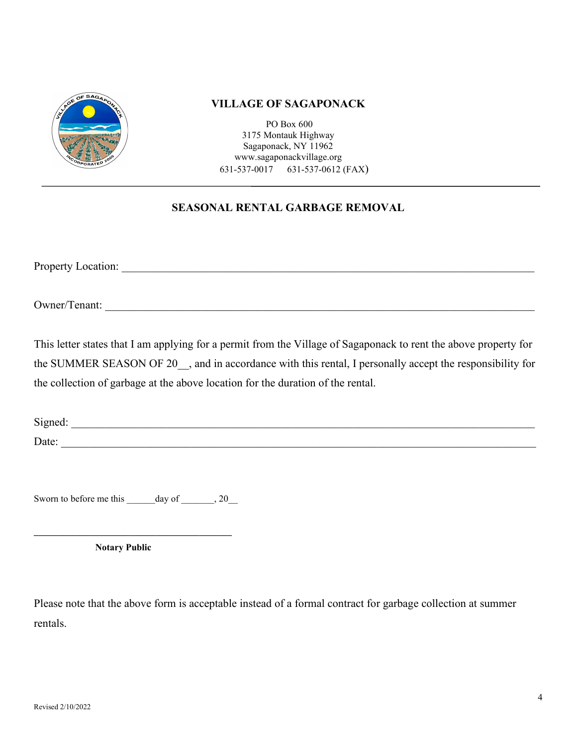

PO Box 600 3175 Montauk Highway Sagaponack, NY 11962 www.sagaponackvillage.org 631-537-0017 631-537-0612 (FAX)

# **SEASONAL RENTAL GARBAGE REMOVAL**

Property Location: \_\_\_\_\_\_\_\_\_\_\_\_\_\_\_\_\_\_\_\_\_\_\_\_\_\_\_\_\_\_\_\_\_\_\_\_\_\_\_\_\_\_\_\_\_\_\_\_\_\_\_\_\_\_\_\_\_\_\_\_\_\_\_\_\_\_\_\_\_\_\_\_\_

Owner/Tenant:

This letter states that I am applying for a permit from the Village of Sagaponack to rent the above property for the SUMMER SEASON OF 20 , and in accordance with this rental, I personally accept the responsibility for the collection of garbage at the above location for the duration of the rental.

Signed: Date:

Sworn to before me this \_\_\_\_\_\_\_ day of \_\_\_\_\_\_\_, 20

**\_\_\_\_\_\_\_\_\_\_\_\_\_\_\_\_\_\_\_\_\_\_\_\_\_\_\_\_\_\_\_\_\_\_\_\_\_\_\_\_\_\_** 

**Notary Public** 

Please note that the above form is acceptable instead of a formal contract for garbage collection at summer rentals.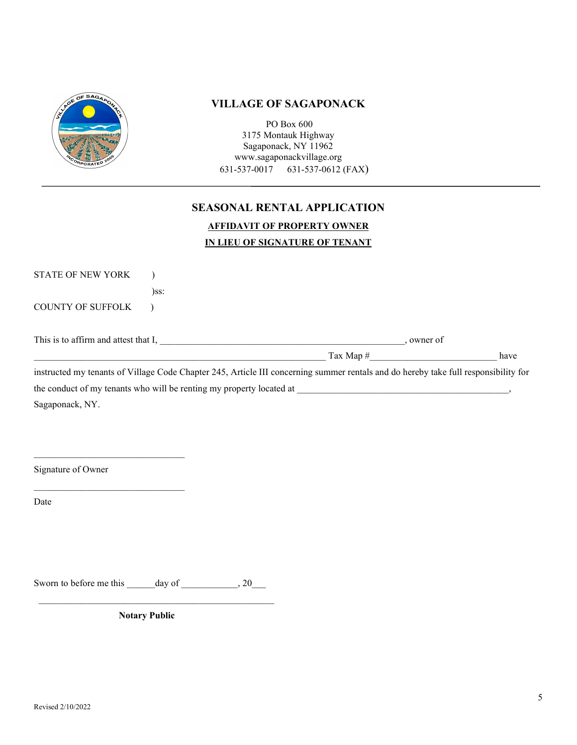

PO Box 600 3175 Montauk Highway Sagaponack, NY 11962 www.sagaponackvillage.org 631-537-0017 631-537-0612 (FAX)

# **SEASONAL RENTAL APPLICATION AFFIDAVIT OF PROPERTY OWNER**

# **IN LIEU OF SIGNATURE OF TENANT**

| <b>STATE OF NEW YORK</b> |                                                                                                                                     |                            |
|--------------------------|-------------------------------------------------------------------------------------------------------------------------------------|----------------------------|
|                          | $)$ ss:                                                                                                                             |                            |
| <b>COUNTY OF SUFFOLK</b> |                                                                                                                                     |                            |
|                          |                                                                                                                                     |                            |
|                          | This is to affirm and attest that I,                                                                                                | . owner of                 |
|                          |                                                                                                                                     | $\text{Tax Map}$ #<br>have |
|                          | instructed my tenants of Village Code Chapter 245, Article III concerning summer rentals and do hereby take full responsibility for |                            |
|                          | the conduct of my tenants who will be renting my property located at                                                                |                            |
| Sagaponack, NY.          |                                                                                                                                     |                            |

Signature of Owner

 $\mathcal{L}_\text{max}$  , where  $\mathcal{L}_\text{max}$  and  $\mathcal{L}_\text{max}$  and  $\mathcal{L}_\text{max}$ 

 $\mathcal{L}_\text{max}$  , where  $\mathcal{L}_\text{max}$  and  $\mathcal{L}_\text{max}$  and  $\mathcal{L}_\text{max}$ 

Date

Sworn to before me this \_\_\_\_\_\_day of \_\_\_\_\_\_\_\_\_\_\_\_, 20\_\_\_

\_\_\_\_\_\_\_\_\_\_\_\_\_\_\_\_\_\_\_\_\_\_\_\_\_\_\_\_\_\_\_\_\_\_\_\_\_\_\_\_\_\_\_\_\_\_\_\_\_\_

 **Notary Public**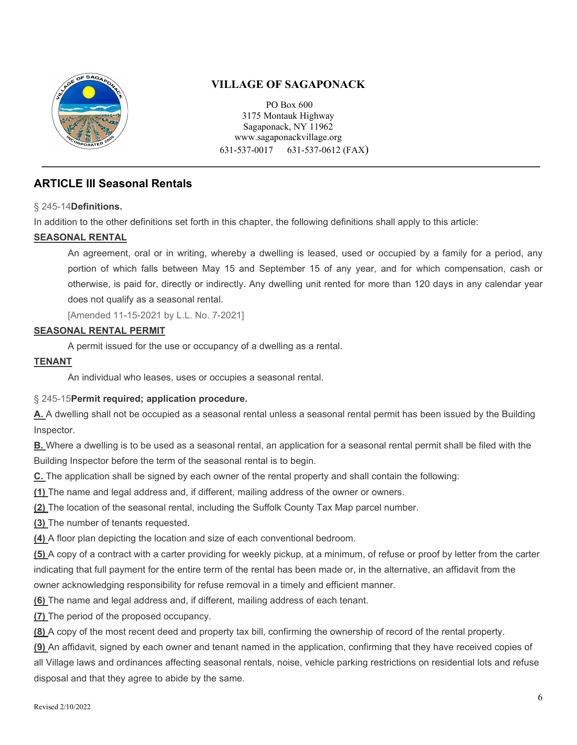

PO Box 600 3175 Montauk Highway Sagaponack, NY 11962 www.sagaponackvillage.org 631-537-0017 631-537-0612 (FAX)

# **ARTICLE III Seasonal Rentals**

§ 245-14**[Definitions.](https://ecode360.com/8083182#8083182)**

In addition to the other definitions set forth in this chapter, the following definitions shall apply to this article:

### **[SEASONAL RENTAL](https://ecode360.com/8083183#8083183)**

An agreement, oral or in writing, whereby a dwelling is leased, used or occupied by a family for a period, any portion of which falls between May 15 and September 15 of any year, and for which compensation, cash or otherwise, is paid for, directly or indirectly. Any dwelling unit rented for more than 120 days in any calendar year does not qualify as a seasonal rental.

[Amended 11-15-2021 by L.L. No. 7-2021]

### **[SEASONAL RENTAL PERMIT](https://ecode360.com/8083184#8083184)**

A permit issued for the use or occupancy of a dwelling as a rental.

### **[TENANT](https://ecode360.com/8083185#8083185)**

An individual who leases, uses or occupies a seasonal rental.

### § 245-15**[Permit required; application procedure.](https://ecode360.com/8083182#8083186)**

**[A.](https://ecode360.com/8083187#8083187)** A dwelling shall not be occupied as a seasonal rental unless a seasonal rental permit has been issued by the Building Inspector.

**[B.](https://ecode360.com/8083188#8083188)** Where a dwelling is to be used as a seasonal rental, an application for a seasonal rental permit shall be filed with the Building Inspector before the term of the seasonal rental is to begin.

**[C.](https://ecode360.com/8083189#8083189)** The application shall be signed by each owner of the rental property and shall contain the following:

**[\(1\)](https://ecode360.com/8083190#8083190)** The name and legal address and, if different, mailing address of the owner or owners.

**[\(2\)](https://ecode360.com/8083191#8083191)** The location of the seasonal rental, including the Suffolk County Tax Map parcel number.

**[\(3\)](https://ecode360.com/8083192#8083192)** The number of tenants requested.

**[\(4\)](https://ecode360.com/8083193#8083193)** A floor plan depicting the location and size of each conventional bedroom.

**[\(5\)](https://ecode360.com/8083194#8083194)** A copy of a contract with a carter providing for weekly pickup, at a minimum, of refuse or proof by letter from the carter indicating that full payment for the entire term of the rental has been made or, in the alternative, an affidavit from the owner acknowledging responsibility for refuse removal in a timely and efficient manner.

**[\(6\)](https://ecode360.com/8083195#8083195)** The name and legal address and, if different, mailing address of each tenant.

**[\(7\)](https://ecode360.com/8083196#8083196)** The period of the proposed occupancy.

**[\(8\)](https://ecode360.com/8083197#8083197)** A copy of the most recent deed and property tax bill, confirming the ownership of record of the rental property.

**[\(9\)](https://ecode360.com/8083198#8083198)** An affidavit, signed by each owner and tenant named in the application, confirming that they have received copies of all Village laws and ordinances affecting seasonal rentals, noise, vehicle parking restrictions on residential lots and refuse disposal and that they agree to abide by the same.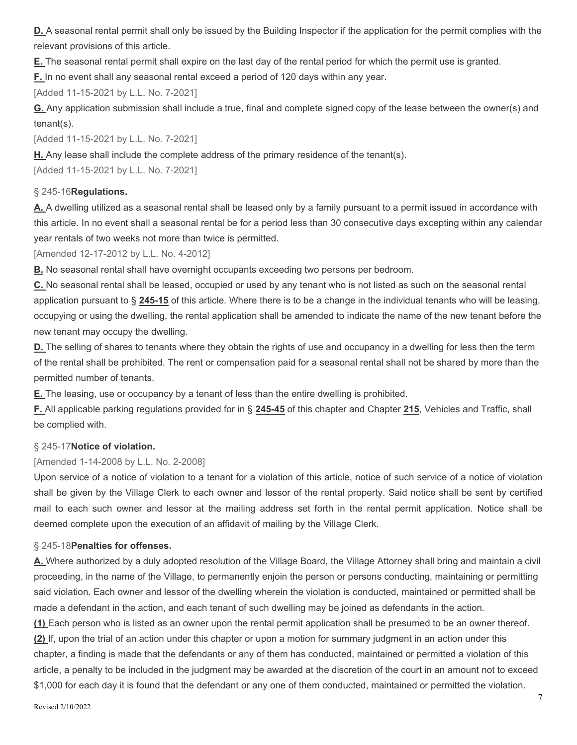**[D.](https://ecode360.com/8083199#8083199)** A seasonal rental permit shall only be issued by the Building Inspector if the application for the permit complies with the relevant provisions of this article.

**[E.](https://ecode360.com/8083200#8083200)** The seasonal rental permit shall expire on the last day of the rental period for which the permit use is granted.

**[F.](https://ecode360.com/37970792#37970792)** In no event shall any seasonal rental exceed a period of 120 days within any year.

[Added 11-15-2021 by L.L. No. 7-2021]

**[G.](https://ecode360.com/37970793#37970793)** Any application submission shall include a true, final and complete signed copy of the lease between the owner(s) and tenant(s).

[Added 11-15-2021 by L.L. No. 7-2021]

**[H.](https://ecode360.com/37970794#37970794)** Any lease shall include the complete address of the primary residence of the tenant(s).

[Added 11-15-2021 by L.L. No. 7-2021]

#### § 245-16**[Regulations.](https://ecode360.com/8083182#8083201)**

**[A.](https://ecode360.com/8083202#8083202)** A dwelling utilized as a seasonal rental shall be leased only by a family pursuant to a permit issued in accordance with this article. In no event shall a seasonal rental be for a period less than 30 consecutive days excepting within any calendar year rentals of two weeks not more than twice is permitted.

[Amended 12-17-2012 by L.L. No. 4-2012]

**[B.](https://ecode360.com/8083203#8083203)** No seasonal rental shall have overnight occupants exceeding two persons per bedroom.

**[C.](https://ecode360.com/8083204#8083204)** No seasonal rental shall be leased, occupied or used by any tenant who is not listed as such on the seasonal rental application pursuant to § **[245-15](https://ecode360.com/8083186#8083186)** of this article. Where there is to be a change in the individual tenants who will be leasing, occupying or using the dwelling, the rental application shall be amended to indicate the name of the new tenant before the new tenant may occupy the dwelling.

**[D.](https://ecode360.com/8083205#8083205)** The selling of shares to tenants where they obtain the rights of use and occupancy in a dwelling for less then the term of the rental shall be prohibited. The rent or compensation paid for a seasonal rental shall not be shared by more than the permitted number of tenants.

**[E.](https://ecode360.com/8083206#8083206)** The leasing, use or occupancy by a tenant of less than the entire dwelling is prohibited.

**[F.](https://ecode360.com/8083207#8083207)** All applicable parking regulations provided for in § **[245-45](https://ecode360.com/8083465#8083465)** of this chapter and Chapter **[215](https://ecode360.com/8082383#8082383)**, Vehicles and Traffic, shall be complied with.

### § 245-17**[Notice of violation.](https://ecode360.com/8083182#8083208)**

#### [Amended 1-14-2008 by L.L. No. 2-2008]

Upon service of a notice of violation to a tenant for a violation of this article, notice of such service of a notice of violation shall be given by the Village Clerk to each owner and lessor of the rental property. Said notice shall be sent by certified mail to each such owner and lessor at the mailing address set forth in the rental permit application. Notice shall be deemed complete upon the execution of an affidavit of mailing by the Village Clerk.

#### § 245-18**[Penalties for offenses.](https://ecode360.com/8083182#8083209)**

**[A.](https://ecode360.com/8083210#8083210)** Where authorized by a duly adopted resolution of the Village Board, the Village Attorney shall bring and maintain a civil proceeding, in the name of the Village, to permanently enjoin the person or persons conducting, maintaining or permitting said violation. Each owner and lessor of the dwelling wherein the violation is conducted, maintained or permitted shall be made a defendant in the action, and each tenant of such dwelling may be joined as defendants in the action.

**[\(1\)](https://ecode360.com/8083211#8083211)** Each person who is listed as an owner upon the rental permit application shall be presumed to be an owner thereof. **[\(2\)](https://ecode360.com/8083212#8083212)** If, upon the trial of an action under this chapter or upon a motion for summary judgment in an action under this chapter, a finding is made that the defendants or any of them has conducted, maintained or permitted a violation of this article, a penalty to be included in the judgment may be awarded at the discretion of the court in an amount not to exceed \$1,000 for each day it is found that the defendant or any one of them conducted, maintained or permitted the violation.